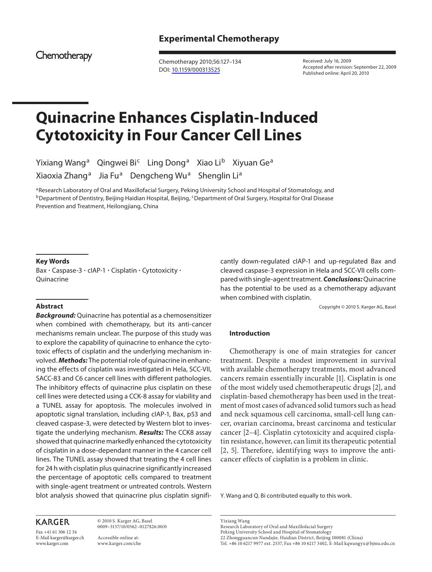Chemotherapy

 Chemotherapy 2010;56:127–134 DOI: [10.1159/000313525](http://dx.doi.org/10.1159%2F000313525)

 Received: July 16, 2009 Accepted after revision: September 22, 2009 Published online: April 20, 2010

# **Quinacrine Enhances Cisplatin-Induced Cytotoxicity in Four Cancer Cell Lines**

Yixiang Wang<sup>a</sup> Qingwei Bi<sup>c</sup> Ling Dong<sup>a</sup> Xiao Li<sup>b</sup> Xiyuan Ge<sup>a</sup> Xiaoxia Zhang<sup>a</sup> Jia Fu<sup>a</sup> Dengcheng Wu<sup>a</sup> Shenglin Li<sup>a</sup>

a Research Laboratory of Oral and Maxillofacial Surgery, Peking University School and Hospital of Stomatology, and <sup>b</sup> Department of Dentistry, Beijing Haidian Hospital, Beijing, <sup>c</sup> Department of Oral Surgery, Hospital for Oral Disease Prevention and Treatment, Heilongjiang, China

#### **Key Words**

Bax · Caspase-3 · cIAP-1 · Cisplatin · Cytotoxicity · **Quinacrine** 

#### **Abstract**

*Background:* Quinacrine has potential as a chemosensitizer when combined with chemotherapy, but its anti-cancer mechanisms remain unclear. The purpose of this study was to explore the capability of quinacrine to enhance the cytotoxic effects of cisplatin and the underlying mechanism involved. *Methods:* The potential role of quinacrine in enhancing the effects of cisplatin was investigated in Hela, SCC-VII, SACC-83 and C6 cancer cell lines with different pathologies. The inhibitory effects of quinacrine plus cisplatin on these cell lines were detected using a CCK-8 assay for viability and a TUNEL assay for apoptosis. The molecules involved in apoptotic signal translation, including cIAP-1, Bax, p53 and cleaved caspase-3, were detected by Western blot to investigate the underlying mechanism. *Results:* The CCK8 assay showed that quinacrine markedly enhanced the cytotoxicity of cisplatin in a dose-dependant manner in the 4 cancer cell lines. The TUNEL assay showed that treating the 4 cell lines for 24 h with cisplatin plus quinacrine significantly increased the percentage of apoptotic cells compared to treatment with single-agent treatment or untreated controls. Western blot analysis showed that quinacrine plus cisplatin significantly down-regulated cIAP-1 and up-regulated Bax and cleaved caspase-3 expression in Hela and SCC-VII cells compared with single-agent treatment. *Conclusions:* Quinacrine has the potential to be used as a chemotherapy adjuvant when combined with cisplatin.

Copyright © 2010 S. Karger AG, Basel

#### **Introduction**

 Chemotherapy is one of main strategies for cancer treatment. Despite a modest improvement in survival with available chemotherapy treatments, most advanced cancers remain essentially incurable [1]. Cisplatin is one of the most widely used chemotherapeutic drugs [2], and cisplatin-based chemotherapy has been used in the treatment of most cases of advanced solid tumors such as head and neck squamous cell carcinoma, small-cell lung cancer, ovarian carcinoma, breast carcinoma and testicular cancer [2–4]. Cisplatin cytotoxicity and acquired cisplatin resistance, however, can limit its therapeutic potential [2, 5]. Therefore, identifying ways to improve the anticancer effects of cisplatin is a problem in clinic.

Y. Wang and Q. Bi contributed equally to this work.

## **KARGER**

Fax +41 61 306 12 34 E-Mail karger@karger.ch www.karger.com

 © 2010 S. Karger AG, Basel 0009–3157/10/0562–0127\$26.00/0

 Accessible online at: www.karger.com/che  Yixiang Wang Research Laboratory of Oral and Maxillofacial Surgery Peking University School and Hospital of Stomatology 22 Zhongguancun Nandajie, Haidian District, Beijing 100081 (China) Tel. +86 10 6217 9977 ext. 2537, Fax +86 10 6217 3402, E-Mail kqwangyx @ bjmu.edu.cn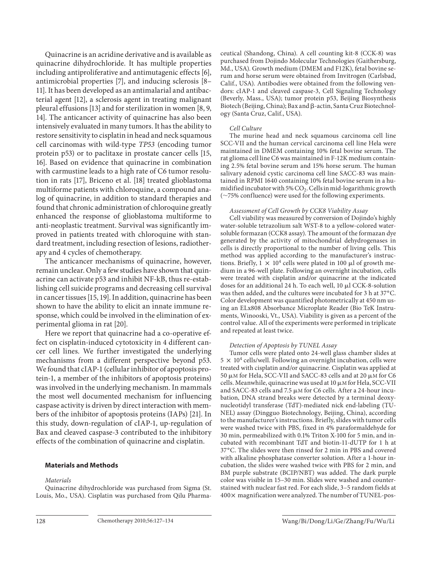Quinacrine is an acridine derivative and is available as quinacrine dihydrochloride. It has multiple properties including antiproliferative and antimutagenic effects [6], antimicrobial properties  $[7]$ , and inducing sclerosis  $[8-$ 11]. It has been developed as an antimalarial and antibacterial agent [12], a sclerosis agent in treating malignant pleural effusions [13] and for sterilization in women [8, 9, 14]. The anticancer activity of quinacrine has also been intensively evaluated in many tumors. It has the ability to restore sensitivity to cisplatin in head and neck squamous cell carcinomas with wild-type *TP53* (encoding tumor protein p53) or to paclitaxe in prostate cancer cells [15, 16]. Based on evidence that quinacrine in combination with carmustine leads to a high rate of C6 tumor resolution in rats [17], Briceno et al. [18] treated glioblastoma multiforme patients with chloroquine, a compound analog of quinacrine, in addition to standard therapies and found that chronic administration of chloroquine greatly enhanced the response of glioblastoma multiforme to anti-neoplastic treatment. Survival was significantly improved in patients treated with chloroquine with standard treatment, including resection of lesions, radiotherapy and 4 cycles of chemotherapy.

 The anticancer mechanisms of quinacrine, however, remain unclear. Only a few studies have shown that quinacrine can activate p53 and inhibit NF-kB, thus re-establishing cell suicide programs and decreasing cell survival in cancer tissues [15, 19]. In addition, quinacrine has been shown to have the ability to elicit an innate immune response, which could be involved in the elimination of experimental glioma in rat [20] .

 Here we report that quinacrine had a co-operative effect on cisplatin-induced cytotoxicity in 4 different cancer cell lines. We further investigated the underlying mechanisms from a different perspective beyond p53. We found that cIAP-1 (cellular inhibitor of apoptosis protein-1, a member of the inhibitors of apoptosis proteins) was involved in the underlying mechanism. In mammals the most well documented mechanism for influencing caspase activity is driven by direct interaction with members of the inhibitor of apoptosis proteins (IAPs) [21] . In this study, down-regulation of cIAP-1, up-regulation of Bax and cleaved caspase-3 contributed to the inhibitory effects of the combination of quinacrine and cisplatin.

## **Materials and Methods**

#### *Materials*

 Quinacrine dihydrochloride was purchased from Sigma (St. Louis, Mo., USA). Cisplatin was purchased from Qilu Pharmaceutical (Shandong, China). A cell counting kit-8 (CCK-8) was purchased from Dojindo Molecular Technologies (Gaithersburg, Md., USA). Growth medium (DMEM and F12K), fetal bovine serum and horse serum were obtained from Invitrogen (Carlsbad, Calif., USA). Antibodies were obtained from the following vendors: cIAP-1 and cleaved caspase-3, Cell Signaling Technology (Beverly, Mass., USA); tumor protein p53, Beijing Biosynthesis Biotech (Beijing, China); Bax and ß-actin, Santa Cruz Biotechnology (Santa Cruz, Calif., USA).

#### *Cell Culture*

 The murine head and neck squamous carcinoma cell line SCC-VII and the human cervical carcinoma cell line Hela were maintained in DMEM containing 10% fetal bovine serum. The rat glioma cell line C6 was maintained in F-12K medium containing 2.5% fetal bovine serum and 15% horse serum. The human salivary adenoid cystic carcinoma cell line SACC-83 was maintained in RPMI 1640 containing 10% fetal bovine serum in a humidified incubator with 5%  $CO<sub>2</sub>$ . Cells in mid-logarithmic growth  $(\sim$ 75% confluence) were used for the following experiments.

#### *Assessment of Cell Growth by CCK8 Viability Assay*

 Cell viability was measured by conversion of Dojindo's highly water-soluble tetrazolium salt WST-8 to a yellow-colored watersoluble formazan (CCK8 assay). The amount of the formazan dye generated by the activity of mitochondrial dehydrogenases in cells is directly proportional to the number of living cells. This method was applied according to the manufacturer's instructions. Briefly,  $1 \times 10^4$  cells were plated in 100 µl of growth medium in a 96-well plate. Following an overnight incubation, cells were treated with cisplatin and/or quinacrine at the indicated doses for an additional 24 h. To each well,  $10 \mu$ l CCK-8-solution was then added, and the cultures were incubated for 3 h at 37° C. Color development was quantified photometrically at 450 nm using an ELx808 Absorbance Microplate Reader (Bio TeK Instruments, Winooski, Vt., USA). Viability is given as a percent of the control value. All of the experiments were performed in triplicate and repeated at least twice.

## *Detection of Apoptosis by TUNEL Assay*

 Tumor cells were plated onto 24-well glass chamber slides at  $5 \times 10^4$  cells/well. Following an overnight incubation, cells were treated with cisplatin and/or quinacrine. Cisplatin was applied at 50  $\mu$ M for Hela, SCC-VII and SACC-83 cells and at 20  $\mu$ M for C6 cells. Meanwhile, quinacrine was used at  $10 \mu$ M for Hela, SCC-VII and SACC-83 cells and 7.5  $\mu$ M for C6 cells. After a 24-hour incubation, DNA strand breaks were detected by a terminal deoxynucleotidyl transferase (TdT)-mediated nick end-labeling (TU-NEL) assay (Dingguo Biotechnology, Beijing, China), according to the manufacturer's instructions. Briefly, slides with tumor cells were washed twice with PBS, fixed in 4% paraformaldehyde for 30 min, permeabilized with 0.1% Triton X-100 for 5 min, and incubated with recombinant TdT and biotin-11-dUTP for 1 h at 37 ° C. The slides were then rinsed for 2 min in PBS and covered with alkaline phosphatase converter solution. After a 1-hour incubation, the slides were washed twice with PBS for 2 min, and BM purple substrate (BCIP/NBT) was added. The dark purple color was visible in 15–30 min. Slides were washed and counterstained with nuclear fast red. For each slide, 3–5 random fields at  $400 \times$  magnification were analyzed. The number of TUNEL-pos-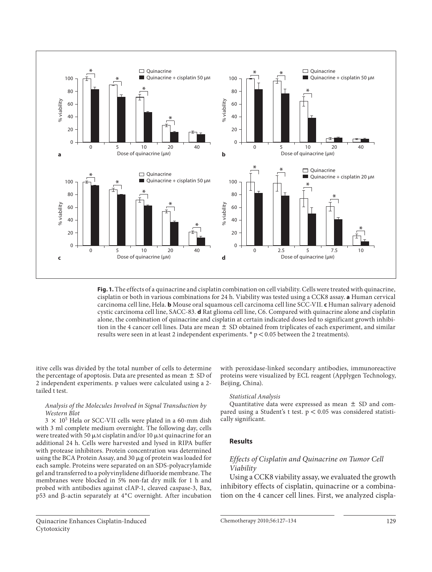

**Fig. 1.** The effects of a quinacrine and cisplatin combination on cell viability. Cells were treated with quinacrine, cisplatin or both in various combinations for 24 h. Viability was tested using a CCK8 assay. **a** Human cervical carcinoma cell line, Hela. **b** Mouse oral squamous cell carcinoma cell line SCC-VII. **c** Human salivary adenoid cystic carcinoma cell line, SACC-83. **d** Rat glioma cell line, C6. Compared with quinacrine alone and cisplatin alone, the combination of quinacrine and cisplatin at certain indicated doses led to significant growth inhibition in the 4 cancer cell lines. Data are mean  $\pm$  SD obtained from triplicates of each experiment, and similar results were seen in at least 2 independent experiments.  $*$  p < 0.05 between the 2 treatments).

itive cells was divided by the total number of cells to determine the percentage of apoptosis. Data are presented as mean  $\pm$  SD of 2 independent experiments. p values were calculated using a 2 tailed t test.

#### *Analysis of the Molecules Involved in Signal Transduction by Western Blot*

 $3 \times 10^5$  Hela or SCC-VII cells were plated in a 60-mm dish with 3 ml complete medium overnight. The following day, cells were treated with 50  $\mu$ M cisplatin and/or 10  $\mu$ M quinacrine for an additional 24 h. Cells were harvested and lysed in RIPA buffer with protease inhibitors. Protein concentration was determined using the BCA Protein Assay, and 30 µg of protein was loaded for each sample. Proteins were separated on an SDS-polyacrylamide gel and transferred to a polyvinylidene difluoride membrane. The membranes were blocked in 5% non-fat dry milk for 1 h and probed with antibodies against cIAP-1, cleaved caspase-3, Bax, p53 and  $\beta$ -actin separately at  $4^{\circ}$ C overnight. After incubation with peroxidase-linked secondary antibodies, immunoreactive proteins were visualized by ECL reagent (Applygen Technology, Beijing, China).

#### *Statistical Analysis*

Quantitative data were expressed as mean  $\pm$  SD and compared using a Student's t test.  $p < 0.05$  was considered statistically significant.

#### **Results**

## *Effects of Cisplatin and Quinacrine on Tumor Cell Viability*

 Using a CCK8 viability assay, we evaluated the growth inhibitory effects of cisplatin, quinacrine or a combination on the 4 cancer cell lines. First, we analyzed cispla-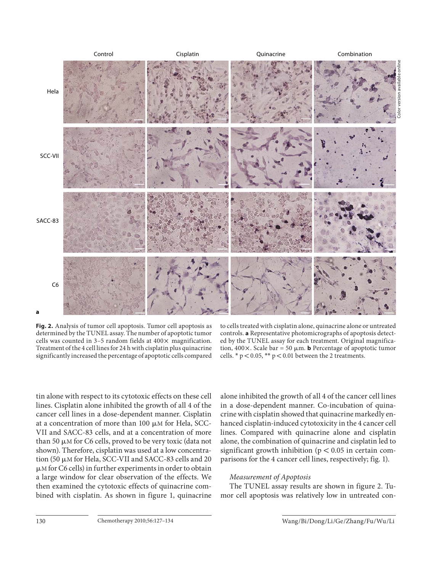

**Fig. 2.** Analysis of tumor cell apoptosis. Tumor cell apoptosis as determined by the TUNEL assay. The number of apoptotic tumor cells was counted in  $3-5$  random fields at  $400 \times$  magnification. Treatment of the 4 cell lines for 24 h with cisplatin plus quinacrine significantly increased the percentage of apoptotic cells compared

to cells treated with cisplatin alone, quinacrine alone or untreated controls. **a** Representative photomicrographs of apoptosis detected by the TUNEL assay for each treatment. Original magnification,  $400 \times$ . Scale bar = 50  $\mu$ m. **b** Percentage of apoptotic tumor cells.  $* p < 0.05$ ,  $** p < 0.01$  between the 2 treatments.

tin alone with respect to its cytotoxic effects on these cell lines. Cisplatin alone inhibited the growth of all 4 of the cancer cell lines in a dose-dependent manner. Cisplatin at a concentration of more than  $100 \mu M$  for Hela, SCC-VII and SACC-83 cells, and at a concentration of more than 50  $\mu$ M for C6 cells, proved to be very toxic (data not shown). Therefore, cisplatin was used at a low concentration (50  $\mu$ M for Hela, SCC-VII and SACC-83 cells and 20  $\mu$ M for C6 cells) in further experiments in order to obtain a large window for clear observation of the effects. We then examined the cytotoxic effects of quinacrine combined with cisplatin. As shown in figure 1, quinacrine alone inhibited the growth of all 4 of the cancer cell lines in a dose-dependent manner. Co-incubation of quinacrine with cisplatin showed that quinacrine markedly enhanced cisplatin-induced cytotoxicity in the 4 cancer cell lines. Compared with quinacrine alone and cisplatin alone, the combination of quinacrine and cisplatin led to significant growth inhibition ( $p < 0.05$  in certain comparisons for the 4 cancer cell lines, respectively; fig. 1).

## *Measurement of Apoptosis*

The TUNEL assay results are shown in figure 2. Tumor cell apoptosis was relatively low in untreated con-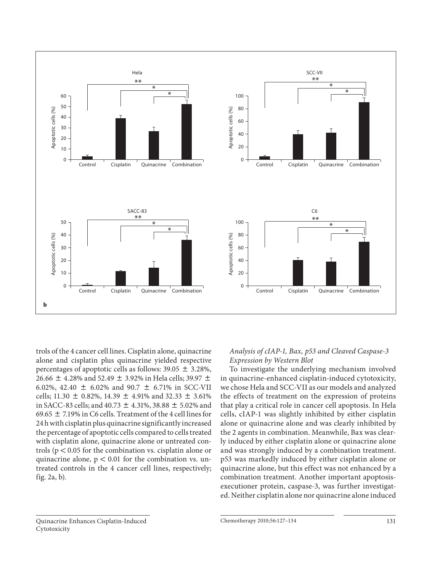

trols of the 4 cancer cell lines. Cisplatin alone, quinacrine alone and cisplatin plus quinacrine yielded respective percentages of apoptotic cells as follows:  $39.05 \pm 3.28\%$ , 26.66  $\pm$  4.28% and 52.49  $\pm$  3.92% in Hela cells; 39.97  $\pm$ 6.02%, 42.40  $\pm$  6.02% and 90.7  $\pm$  6.71% in SCC-VII cells; 11.30  $\pm$  0.82%, 14.39  $\pm$  4.91% and 32.33  $\pm$  3.61% in SACC-83 cells; and  $40.73 \pm 4.31\%$ , 38.88  $\pm$  5.02% and 69.65  $\pm$  7.19% in C6 cells. Treatment of the 4 cell lines for 24 h with cisplatin plus quinacrine significantly increased the percentage of apoptotic cells compared to cells treated with cisplatin alone, quinacrine alone or untreated controls ( $p < 0.05$  for the combination vs. cisplatin alone or quinacrine alone,  $p < 0.01$  for the combination vs. untreated controls in the 4 cancer cell lines, respectively; fig.  $2a, b$ ).

## *Analysis of cIAP-1, Bax, p53 and Cleaved Caspase-3 Expression by Western Blot*

 To investigate the underlying mechanism involved in quinacrine-enhanced cisplatin-induced cytotoxicity, we chose Hela and SCC-VII as our models and analyzed the effects of treatment on the expression of proteins that play a critical role in cancer cell apoptosis. In Hela cells, cIAP-1 was slightly inhibited by either cisplatin alone or quinacrine alone and was clearly inhibited by the 2 agents in combination. Meanwhile, Bax was clearly induced by either cisplatin alone or quinacrine alone and was strongly induced by a combination treatment. p53 was markedly induced by either cisplatin alone or quinacrine alone, but this effect was not enhanced by a combination treatment. Another important apoptosisexecutioner protein, caspase-3, was further investigated. Neither cisplatin alone nor quinacrine alone induced

#### Quinacrine Enhances Cisplatin-Induced Cytotoxicity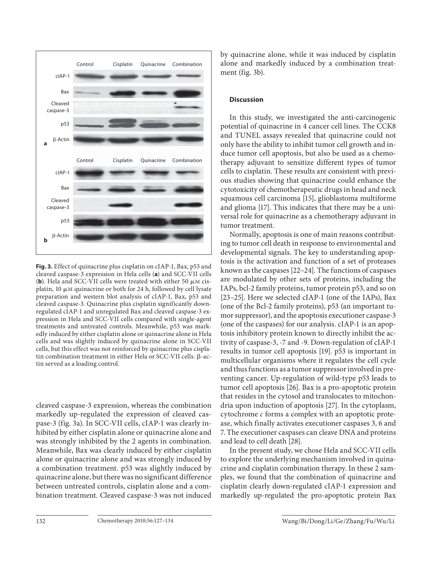

**Fig. 3.** Effect of quinacrine plus cisplatin on cIAP-1, Bax, p53 and cleaved caspase-3 expression in Hela cells (a) and SCC-VII cells (b). Hela and SCC-VII cells were treated with either 50  $\mu$ M cisplatin, 10  $\mu$ M quinacrine or both for 24 h, followed by cell lysate preparation and western blot analysis of cIAP-1, Bax, p53 and cleaved caspase-3. Quinacrine plus cisplatin significantly downregulated cIAP-1 and unregulated Bax and cleaved caspase-3 expression in Hela and SCC-VII cells compared with single-agent treatments and untreated controls. Meanwhile, p53 was markedly induced by either cisplatin alone or quinacrine alone in Hela cells and was slightly induced by quinacrine alone in SCC-VII cells, but this effect was not reinforced by quinacrine plus cisplatin combination treatment in either Hela or SCC-VII cells.  $\beta$ -actin served as a loading control.

cleaved caspase-3 expression, whereas the combination markedly up-regulated the expression of cleaved caspase-3 (fig. 3a). In SCC-VII cells, cIAP-1 was clearly inhibited by either cisplatin alone or quinacrine alone and was strongly inhibited by the 2 agents in combination. Meanwhile, Bax was clearly induced by either cisplatin alone or quinacrine alone and was strongly induced by a combination treatment. p53 was slightly induced by quinacrine alone, but there was no significant difference between untreated controls, cisplatin alone and a combination treatment. Cleaved caspase-3 was not induced by quinacrine alone, while it was induced by cisplatin alone and markedly induced by a combination treatment ( $fig. 3b$ ).

#### **Discussion**

 In this study, we investigated the anti-carcinogenic potential of quinacrine in 4 cancer cell lines. The CCK8 and TUNEL assays revealed that quinacrine could not only have the ability to inhibit tumor cell growth and induce tumor cell apoptosis, but also be used as a chemotherapy adjuvant to sensitize different types of tumor cells to cisplatin. These results are consistent with previous studies showing that quinacrine could enhance the cytotoxicity of chemotherapeutic drugs in head and neck squamous cell carcinoma [15], glioblastoma multiforme and glioma [17]. This indicates that there may be a universal role for quinacrine as a chemotherapy adjuvant in tumor treatment.

 Normally, apoptosis is one of main reasons contributing to tumor cell death in response to environmental and developmental signals. The key to understanding apoptosis is the activation and function of a set of proteases known as the caspases [22–24] . The functions of caspases are modulated by other sets of proteins, including the IAPs, bcl-2 family proteins, tumor protein p53, and so on [23-25]. Here we selected cIAP-1 (one of the IAPs), Bax (one of the Bcl-2 family proteins), p53 (an important tumor suppressor), and the apoptosis executioner caspase-3 (one of the caspases) for our analysis. cIAP-1 is an apoptosis inhibitory protein known to directly inhibit the activity of caspase-3, -7 and -9. Down-regulation of cIAP-1 results in tumor cell apoptosis [19]. p53 is important in multicellular organisms where it regulates the cell cycle and thus functions as a tumor suppressor involved in preventing cancer. Up-regulation of wild-type p53 leads to tumor cell apoptosis [26]. Bax is a pro-apoptotic protein that resides in the cytosol and translocates to mitochondria upon induction of apoptosis [27] . In the cytoplasm, cytochrome *c* forms a complex with an apoptotic protease, which finally activates executioner caspases 3, 6 and 7. The executioner caspases can cleave DNA and proteins and lead to cell death [28].

 In the present study, we chose Hela and SCC-VII cells to explore the underlying mechanism involved in quinacrine and cisplatin combination therapy. In these 2 samples, we found that the combination of quinacrine and cisplatin clearly down-regulated cIAP-1 expression and markedly up-regulated the pro-apoptotic protein Bax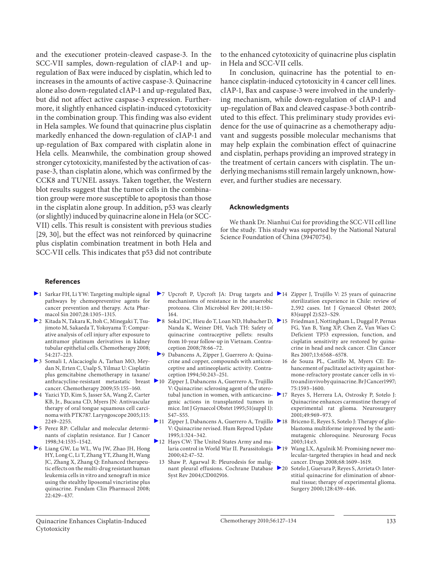and the executioner protein-cleaved caspase-3. In the SCC-VII samples, down-regulation of cIAP-1 and upregulation of Bax were induced by cisplatin, which led to increases in the amounts of active caspase-3. Quinacrine alone also down-regulated cIAP-1 and up-regulated Bax, but did not affect active caspase-3 expression. Furthermore, it slightly enhanced cisplatin-induced cytotoxicity in the combination group. This finding was also evident in Hela samples. We found that quinacrine plus cisplatin markedly enhanced the down-regulation of cIAP-1 and up-regulation of Bax compared with cisplatin alone in Hela cells. Meanwhile, the combination group showed stronger cytotoxicity, manifested by the activation of caspase-3, than cisplatin alone, which was confirmed by the CCK8 and TUNEL assays. Taken together, the Western blot results suggest that the tumor cells in the combination group were more susceptible to apoptosis than those in the cisplatin alone group. In addition, p53 was clearly (or slightly) induced by quinacrine alone in Hela (or SCC-VII) cells. This result is consistent with previous studies [29, 30], but the effect was not reinforced by quinacrine plus cisplatin combination treatment in both Hela and SCC-VII cells. This indicates that p53 did not contribute

to the enhanced cytotoxicity of quinacrine plus cisplatin in Hela and SCC-VII cells.

In conclusion, quinacrine has the potential to enhance cisplatin-induced cytotoxicity in 4 cancer cell lines. cIAP-1, Bax and caspase-3 were involved in the underlying mechanism, while down-regulation of cIAP-1 and up-regulation of Bax and cleaved caspase-3 both contributed to this effect. This preliminary study provides evidence for the use of quinacrine as a chemotherapy adjuvant and suggests possible molecular mechanisms that may help explain the combination effect of quinacrine and cisplatin, perhaps providing an improved strategy in the treatment of certain cancers with cisplatin. The underlying mechanisms still remain largely unknown, however, and further studies are necessary.

#### **Acknowledgments**

 We thank Dr. Nianhui Cui for providing the SCC-VII cell line for the study. This study was supported by the National Natural Science Foundation of China (39470754).

#### **References**

- 1 Sarkar FH, Li YW: Targeting multiple signal pathways by chemopreventive agents for cancer prevention and therapy. Acta Pharmacol Sin 2007;28:1305–1315.
- 2 Kitada N, Takara K, Itoh C, Minegaki T, Tsujimoto M, Sakaeda T, Yokoyama T: Comparative analysis of cell injury after exposure to antitumor platinum derivatives in kidney tubular epithelial cells. Chemotherapy 2008; 54:217–223.
- 3 Somali I, Alacacioglu A, Tarhan MO, Meydan N, Erten C, Usalp S, Yilmaz U: Cisplatin plus gemcitabine chemotherapy in taxane/ cancer. Chemotherapy 2009;55:155–160.
- 4 Yazici YD, Kim S, Jasser SA, Wang Z, Carter KB, Jr., Bucana CD, Myers JN: Antivascular therapy of oral tongue squamous cell carcinoma with PTK787. Laryngoscope 2005;115: 2249–2255.
- 5 Perez RP: Cellular and molecular determinants of cisplatin resistance. Eur J Cancer 1998;34:1535–1542.
- 6 Liang GW, Lu WL, Wu JW, Zhao JH, Hong HY, Long C, Li T, Zhang YT, Zhang H, Wang JC, Zhang X, Zhang Q: Enhanced therapeutic effects on the multi-drug resistant human leukemia cells in vitro and xenograft in mice using the stealthy liposomal vincristine plus quinacrine. Fundam Clin Pharmacol 2008; 22:429–437.
- 7 Upcroft P, Upcroft JA: Drug targets and 14 Zipper J, Trujillo V: 25 years of quinacrine mechanisms of resistance in the anaerobic protozoa. Clin Microbiol Rev 2001;14:150– 164.
- 8 Sokal DC, Hieu do T, Loan ND, Hubacher D, 15 Friedman J, Nottingham L, Duggal P, Pernas Nanda K, Weiner DH, Vach TH: Safety of quinacrine contraceptive pellets: results from 10-year follow-up in Vietnam. Contraception 2008;78:66–72.
- 9 Dabancens A, Zipper J, Guerrero A: Quinacrine and copper, compounds with anticonceptive and antineoplastic activity. Contraception 1994;50:243–251.
- anthracycline-resistant metastatic breast 10 Zipper J, Dabancens A, Guerrero A, Trujillo V: Quinacrine: sclerosing agent of the uterotubal junction in women, with anticarcinogenic actions in transplanted tumors in mice. Int J Gynaecol Obstet 1995;51(suppl 1): S47–S55.
	- 11 Zipper J, Dabancens A, Guerrero A, Trujillo V: Quinacrine revised. Hum Reprod Update 1995;1:324–342.
	- 12 Hays CW: The United States Army and malaria control in World War II. Parassitologia 2000;42:47–52.
		- 13 Shaw P, Agarwal R: Pleurodesis for malignant pleural effusions. Cochrane Database Syst Rev 2004;CD002916.
- sterilization experience in Chile: review of 2,592 cases. Int J Gynaecol Obstet 2003; 83(suppl 2):S23–S29.
- FG, Yan B, Yang XP, Chen Z, Van Waes C: Deficient TP53 expression, function, and cisplatin sensitivity are restored by quinacrine in head and neck cancer. Clin Cancer Res 2007;13:6568–6578.
- 16 de Souza PL, Castillo M, Myers CE: Enhancement of paclitaxel activity against hormone-refractory prostate cancer cells in vitro and in vivo by quinacrine. Br J Cancer1997; 75:1593–1600.
- 17 Reyes S, Herrera LA, Ostrosky P, Sotelo J: Quinacrine enhances carmustine therapy of experimental rat glioma. Neurosurgery 2001;49:969–973.
- 18 Briceno E, Reyes S, Sotelo J: Therapy of glioblastoma multiforme improved by the antimutagenic chloroquine. Neurosurg Focus 2003;14:e3.
- 19 Wang LX, Agulnik M: Promising newer molecular-targeted therapies in head and neck cancer. Drugs 2008;68:1609–1619.
	- Sotelo J, Guevara P, Reyes S, Arrieta O: Interstitial quinacrine for elimination of abnormal tissue; therapy of experimental glioma. Surgery 2000;128:439–446.

 Quinacrine Enhances Cisplatin-Induced Cytotoxicity